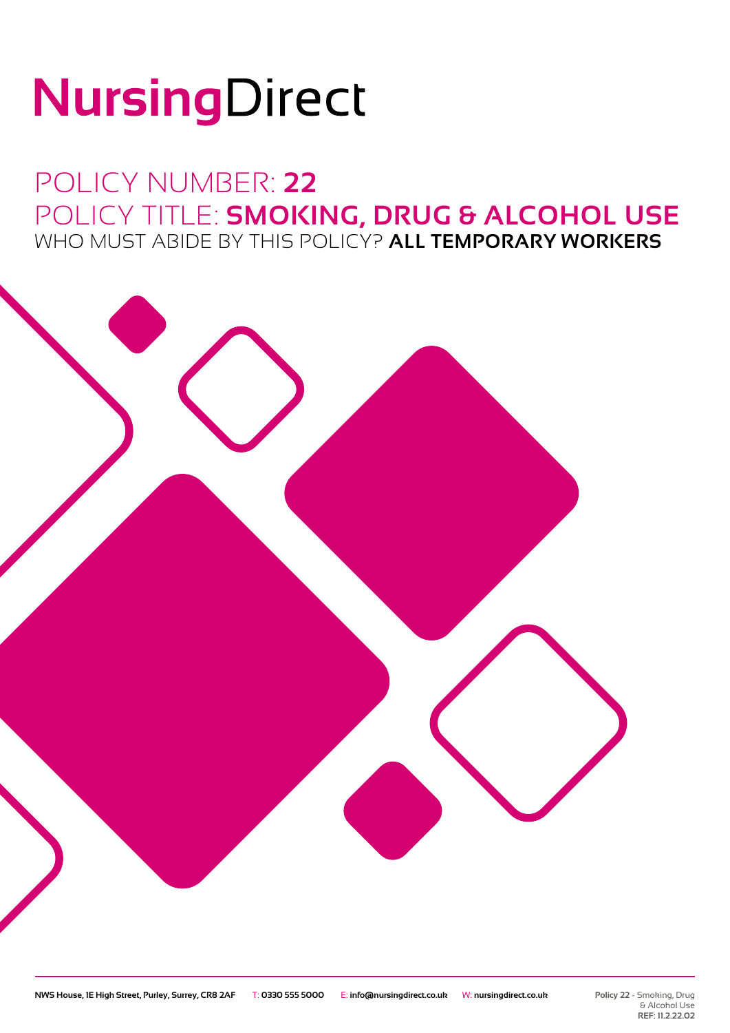# NursingDirect

### POLICY NUMBER: **22** POLICY TITLE: **SMOKING, DRUG & ALCOHOL USE** WHO MUST ABIDE BY THIS POLICY? **ALL TEMPORARY WORKERS**